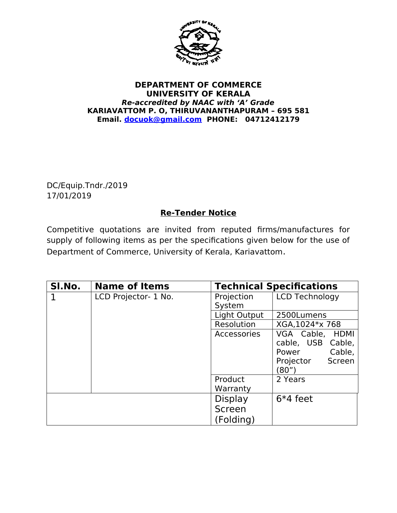

## **DEPARTMENT OF COMMERCE UNIVERSITY OF KERALA Re-accredited by NAAC with 'A' Grade KARIAVATTOM P. O, THIRUVANANTHAPURAM – 695 581 Email. docuok@gmail.com PHONE: 04712412179**

DC/Equip.Tndr./2019 17/01/2019

## **Re-Tender Notice**

Competitive quotations are invited from reputed firms/manufactures for supply of following items as per the specifications given below for the use of Department of Commerce, University of Kerala, Kariavattom.

| SI.No. | <b>Name of Items</b> |                      | <b>Technical Specifications</b>                                                         |  |
|--------|----------------------|----------------------|-----------------------------------------------------------------------------------------|--|
| 1      | LCD Projector- 1 No. | Projection<br>System | <b>LCD Technology</b>                                                                   |  |
|        |                      | Light Output         | 2500Lumens                                                                              |  |
|        |                      | Resolution           | XGA, 1024*x 768                                                                         |  |
|        |                      | Accessories          | VGA Cable, HDMI<br>cable, USB Cable,<br>Cable,<br>Power<br>Projector<br>Screen<br>(80") |  |
|        |                      | Product<br>Warranty  | 2 Years                                                                                 |  |
|        |                      | <b>Display</b>       | $6*4$ feet                                                                              |  |
|        |                      | Screen<br>(Folding)  |                                                                                         |  |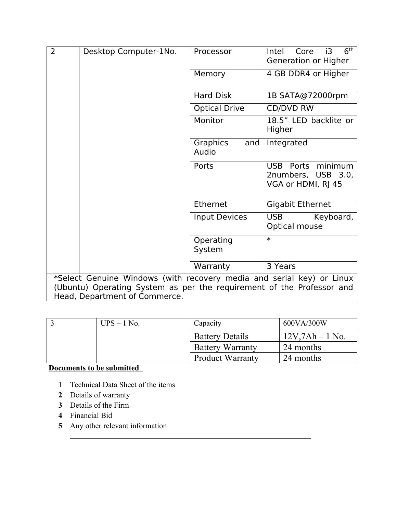| $\overline{2}$<br>Desktop Computer-1No.                                                                | Processor                | 6 <sup>th</sup><br>Intel<br>Core<br>i3<br>Generation or Higher             |  |  |  |
|--------------------------------------------------------------------------------------------------------|--------------------------|----------------------------------------------------------------------------|--|--|--|
|                                                                                                        | Memory                   | 4 GB DDR4 or Higher                                                        |  |  |  |
|                                                                                                        | <b>Hard Disk</b>         | 1B SATA@72000rpm                                                           |  |  |  |
|                                                                                                        | <b>Optical Drive</b>     | <b>CD/DVD RW</b>                                                           |  |  |  |
|                                                                                                        | Monitor                  | 18.5" LED backlite or<br>Higher                                            |  |  |  |
|                                                                                                        | Graphics<br>and<br>Audio | Integrated                                                                 |  |  |  |
|                                                                                                        | Ports                    | minimum<br><b>USB</b><br>Ports<br>2numbers, USB 3.0,<br>VGA or HDMI, RJ 45 |  |  |  |
|                                                                                                        | Ethernet                 | <b>Gigabit Ethernet</b>                                                    |  |  |  |
|                                                                                                        | <b>Input Devices</b>     | <b>USB</b><br>Keyboard,<br>Optical mouse                                   |  |  |  |
|                                                                                                        | Operating<br>System      | $\overline{\ast}$                                                          |  |  |  |
|                                                                                                        | Warranty                 | 3 Years                                                                    |  |  |  |
| *Select Genuine Windows (with recovery media and serial key) or Linux                                  |                          |                                                                            |  |  |  |
| (Ubuntu) Operating System as per the requirement of the Professor and<br>Head, Department of Commerce. |                          |                                                                            |  |  |  |

| $UPS - 1$ No. | Capacity                | 600VA/300W            |
|---------------|-------------------------|-----------------------|
|               | <b>Battery Details</b>  | $12V$ , $7Ah - 1No$ . |
|               | <b>Battery Warranty</b> | 24 months             |
|               | <b>Product Warranty</b> | 24 months             |

## **Documents to be submitted**

- 1 Technical Data Sheet of the items
- **2** Details of warranty
- **3** Details of the Firm
- **4** Financial Bid

**5** Any other relevant information\_